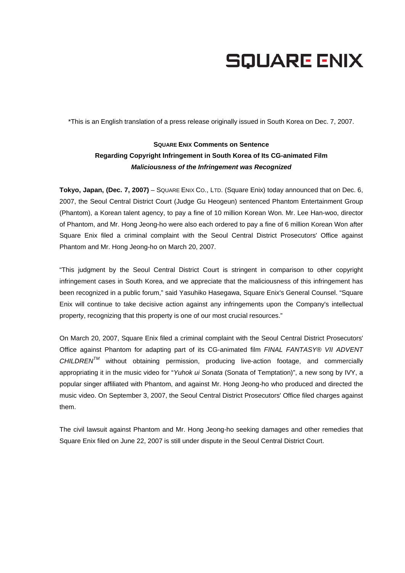## **SQUARE ENIX**

\*This is an English translation of a press release originally issued in South Korea on Dec. 7, 2007.

## **SQUARE ENIX Comments on Sentence Regarding Copyright Infringement in South Korea of Its CG-animated Film**  *Maliciousness of the Infringement was Recognized*

**Tokyo, Japan, (Dec. 7, 2007)** – SQUARE ENIX CO., LTD. (Square Enix) today announced that on Dec. 6, 2007, the Seoul Central District Court (Judge Gu Heogeun) sentenced Phantom Entertainment Group (Phantom), a Korean talent agency, to pay a fine of 10 million Korean Won. Mr. Lee Han-woo, director of Phantom, and Mr. Hong Jeong-ho were also each ordered to pay a fine of 6 million Korean Won after Square Enix filed a criminal complaint with the Seoul Central District Prosecutors' Office against Phantom and Mr. Hong Jeong-ho on March 20, 2007.

"This judgment by the Seoul Central District Court is stringent in comparison to other copyright infringement cases in South Korea, and we appreciate that the maliciousness of this infringement has been recognized in a public forum," said Yasuhiko Hasegawa, Square Enix's General Counsel. "Square Enix will continue to take decisive action against any infringements upon the Company's intellectual property, recognizing that this property is one of our most crucial resources."

On March 20, 2007, Square Enix filed a criminal complaint with the Seoul Central District Prosecutors' Office against Phantom for adapting part of its CG-animated film *FINAL FANTASY® VII ADVENT CHILDRENTM* without obtaining permission, producing live-action footage, and commercially appropriating it in the music video for "*Yuhok ui Sonata* (Sonata of Temptation)", a new song by IVY, a popular singer affiliated with Phantom, and against Mr. Hong Jeong-ho who produced and directed the music video. On September 3, 2007, the Seoul Central District Prosecutors' Office filed charges against them.

The civil lawsuit against Phantom and Mr. Hong Jeong-ho seeking damages and other remedies that Square Enix filed on June 22, 2007 is still under dispute in the Seoul Central District Court.